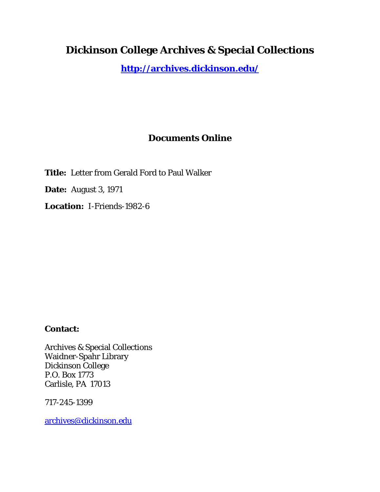## **Dickinson College Archives & Special Collections**

**<http://archives.dickinson.edu/>**

## **Documents Online**

**Title:** Letter from Gerald Ford to Paul Walker **Date:** August 3, 1971

**Location:** I-Friends-1982-6

## **Contact:**

Archives & Special Collections Waidner-Spahr Library Dickinson College P.O. Box 1773 Carlisle, PA 17013

717-245-1399

[archives@dickinson.edu](mailto:archives@dickinson.edu)